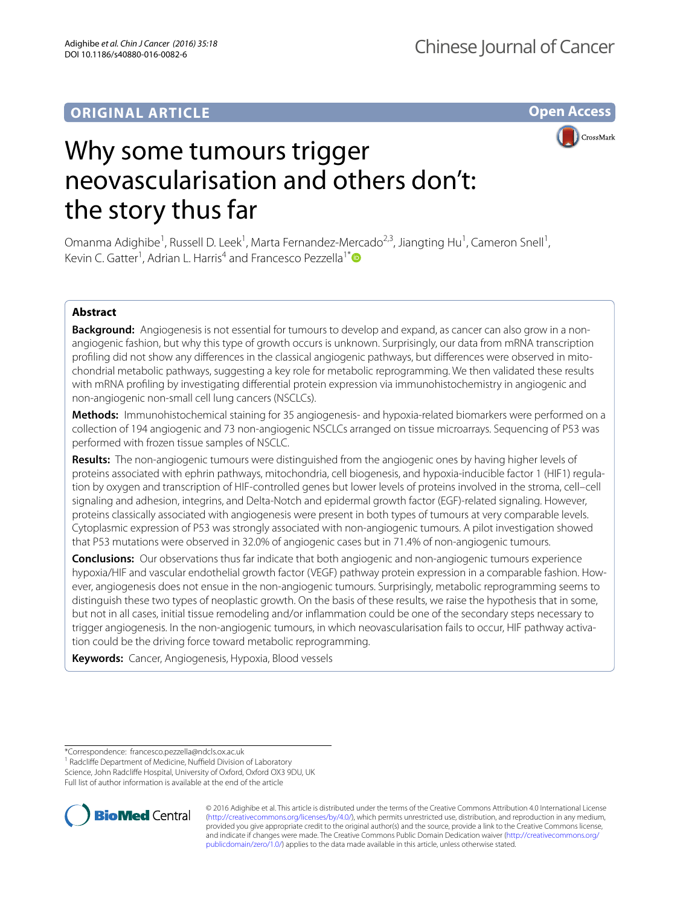# **ORIGINAL ARTICLE**

**Open Access**



# Why some tumours trigger neovascularisation and others don't: the story thus far

Omanma Adighibe<sup>1</sup>, Russell D. Leek<sup>1</sup>, Marta Fernandez-Mercado<sup>2,3</sup>, Jiangting Hu<sup>1</sup>, Cameron Snell<sup>1</sup>, Kevin C. Gatter<sup>1</sup>, Adrian L. Harris<sup>4</sup> and Francesco Pezzella<sup>1[\\*](http://orcid.org/0000-0003-1505-7854)</sup>

# **Abstract**

**Background:** Angiogenesis is not essential for tumours to develop and expand, as cancer can also grow in a nonangiogenic fashion, but why this type of growth occurs is unknown. Surprisingly, our data from mRNA transcription profiling did not show any differences in the classical angiogenic pathways, but differences were observed in mitochondrial metabolic pathways, suggesting a key role for metabolic reprogramming. We then validated these results with mRNA profiling by investigating differential protein expression via immunohistochemistry in angiogenic and non-angiogenic non-small cell lung cancers (NSCLCs).

**Methods:** Immunohistochemical staining for 35 angiogenesis- and hypoxia-related biomarkers were performed on a collection of 194 angiogenic and 73 non-angiogenic NSCLCs arranged on tissue microarrays. Sequencing of P53 was performed with frozen tissue samples of NSCLC.

**Results:** The non-angiogenic tumours were distinguished from the angiogenic ones by having higher levels of proteins associated with ephrin pathways, mitochondria, cell biogenesis, and hypoxia-inducible factor 1 (HIF1) regulation by oxygen and transcription of HIF-controlled genes but lower levels of proteins involved in the stroma, cell–cell signaling and adhesion, integrins, and Delta-Notch and epidermal growth factor (EGF)-related signaling. However, proteins classically associated with angiogenesis were present in both types of tumours at very comparable levels. Cytoplasmic expression of P53 was strongly associated with non-angiogenic tumours. A pilot investigation showed that P53 mutations were observed in 32.0% of angiogenic cases but in 71.4% of non-angiogenic tumours.

**Conclusions:** Our observations thus far indicate that both angiogenic and non-angiogenic tumours experience hypoxia/HIF and vascular endothelial growth factor (VEGF) pathway protein expression in a comparable fashion. How‑ ever, angiogenesis does not ensue in the non-angiogenic tumours. Surprisingly, metabolic reprogramming seems to distinguish these two types of neoplastic growth. On the basis of these results, we raise the hypothesis that in some, but not in all cases, initial tissue remodeling and/or inflammation could be one of the secondary steps necessary to trigger angiogenesis. In the non-angiogenic tumours, in which neovascularisation fails to occur, HIF pathway activation could be the driving force toward metabolic reprogramming.

**Keywords:** Cancer, Angiogenesis, Hypoxia, Blood vessels

<sup>1</sup> Radcliffe Department of Medicine, Nuffield Division of Laboratory Science, John Radcliffe Hospital, University of Oxford, Oxford OX3 9DU, UK Full list of author information is available at the end of the article



© 2016 Adighibe et al. This article is distributed under the terms of the Creative Commons Attribution 4.0 International License [\(http://creativecommons.org/licenses/by/4.0/\)](http://creativecommons.org/licenses/by/4.0/), which permits unrestricted use, distribution, and reproduction in any medium, provided you give appropriate credit to the original author(s) and the source, provide a link to the Creative Commons license, and indicate if changes were made. The Creative Commons Public Domain Dedication waiver ([http://creativecommons.org/](http://creativecommons.org/publicdomain/zero/1.0/) [publicdomain/zero/1.0/](http://creativecommons.org/publicdomain/zero/1.0/)) applies to the data made available in this article, unless otherwise stated.

<sup>\*</sup>Correspondence: francesco.pezzella@ndcls.ox.ac.uk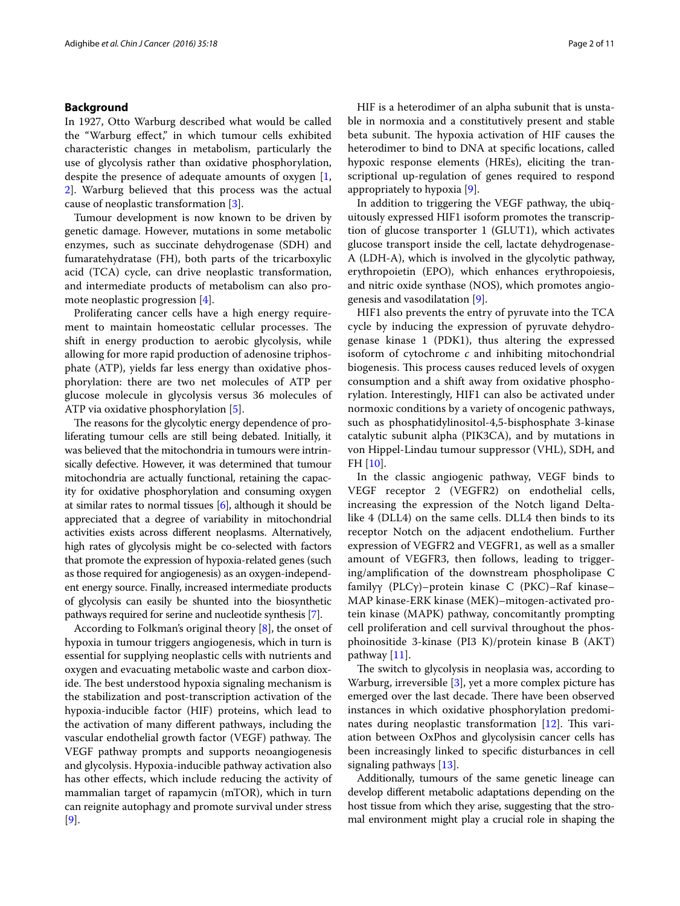#### **Background**

In 1927, Otto Warburg described what would be called the "Warburg effect," in which tumour cells exhibited characteristic changes in metabolism, particularly the use of glycolysis rather than oxidative phosphorylation, despite the presence of adequate amounts of oxygen [\[1](#page-10-0), [2\]](#page-10-1). Warburg believed that this process was the actual cause of neoplastic transformation [\[3](#page-10-2)].

Tumour development is now known to be driven by genetic damage. However, mutations in some metabolic enzymes, such as succinate dehydrogenase (SDH) and fumaratehydratase (FH), both parts of the tricarboxylic acid (TCA) cycle, can drive neoplastic transformation, and intermediate products of metabolism can also promote neoplastic progression [[4\]](#page-10-3).

Proliferating cancer cells have a high energy requirement to maintain homeostatic cellular processes. The shift in energy production to aerobic glycolysis, while allowing for more rapid production of adenosine triphosphate (ATP), yields far less energy than oxidative phosphorylation: there are two net molecules of ATP per glucose molecule in glycolysis versus 36 molecules of ATP via oxidative phosphorylation [[5\]](#page-10-4).

The reasons for the glycolytic energy dependence of proliferating tumour cells are still being debated. Initially, it was believed that the mitochondria in tumours were intrinsically defective. However, it was determined that tumour mitochondria are actually functional, retaining the capacity for oxidative phosphorylation and consuming oxygen at similar rates to normal tissues [[6](#page-10-5)], although it should be appreciated that a degree of variability in mitochondrial activities exists across different neoplasms. Alternatively, high rates of glycolysis might be co-selected with factors that promote the expression of hypoxia-related genes (such as those required for angiogenesis) as an oxygen-independent energy source. Finally, increased intermediate products of glycolysis can easily be shunted into the biosynthetic pathways required for serine and nucleotide synthesis [[7](#page-10-6)].

According to Folkman's original theory [[8\]](#page-10-7), the onset of hypoxia in tumour triggers angiogenesis, which in turn is essential for supplying neoplastic cells with nutrients and oxygen and evacuating metabolic waste and carbon dioxide. The best understood hypoxia signaling mechanism is the stabilization and post-transcription activation of the hypoxia-inducible factor (HIF) proteins, which lead to the activation of many different pathways, including the vascular endothelial growth factor (VEGF) pathway. The VEGF pathway prompts and supports neoangiogenesis and glycolysis. Hypoxia-inducible pathway activation also has other effects, which include reducing the activity of mammalian target of rapamycin (mTOR), which in turn can reignite autophagy and promote survival under stress [[9\]](#page-10-8).

HIF is a heterodimer of an alpha subunit that is unstable in normoxia and a constitutively present and stable beta subunit. The hypoxia activation of HIF causes the heterodimer to bind to DNA at specific locations, called hypoxic response elements (HREs), eliciting the transcriptional up-regulation of genes required to respond appropriately to hypoxia [[9\]](#page-10-8).

In addition to triggering the VEGF pathway, the ubiquitously expressed HIF1 isoform promotes the transcription of glucose transporter 1 (GLUT1), which activates glucose transport inside the cell, lactate dehydrogenase-A (LDH-A), which is involved in the glycolytic pathway, erythropoietin (EPO), which enhances erythropoiesis, and nitric oxide synthase (NOS), which promotes angiogenesis and vasodilatation [[9\]](#page-10-8).

HIF1 also prevents the entry of pyruvate into the TCA cycle by inducing the expression of pyruvate dehydrogenase kinase 1 (PDK1), thus altering the expressed isoform of cytochrome *c* and inhibiting mitochondrial biogenesis. This process causes reduced levels of oxygen consumption and a shift away from oxidative phosphorylation. Interestingly, HIF1 can also be activated under normoxic conditions by a variety of oncogenic pathways, such as phosphatidylinositol-4,5-bisphosphate 3-kinase catalytic subunit alpha (PIK3CA), and by mutations in von Hippel-Lindau tumour suppressor (VHL), SDH, and FH [\[10](#page-10-9)].

In the classic angiogenic pathway, VEGF binds to VEGF receptor 2 (VEGFR2) on endothelial cells, increasing the expression of the Notch ligand Deltalike 4 (DLL4) on the same cells. DLL4 then binds to its receptor Notch on the adjacent endothelium. Further expression of VEGFR2 and VEGFR1, as well as a smaller amount of VEGFR3, then follows, leading to triggering/amplification of the downstream phospholipase C familyγ (PLCγ)–protein kinase C (PKC)–Raf kinase– MAP kinase-ERK kinase (MEK)–mitogen-activated protein kinase (MAPK) pathway, concomitantly prompting cell proliferation and cell survival throughout the phosphoinositide 3-kinase (PI3 K)/protein kinase B (AKT) pathway [[11\]](#page-10-10).

The switch to glycolysis in neoplasia was, according to Warburg, irreversible [[3\]](#page-10-2), yet a more complex picture has emerged over the last decade. There have been observed instances in which oxidative phosphorylation predominates during neoplastic transformation [[12\]](#page-10-11). This variation between OxPhos and glycolysisin cancer cells has been increasingly linked to specific disturbances in cell signaling pathways [[13\]](#page-10-12).

Additionally, tumours of the same genetic lineage can develop different metabolic adaptations depending on the host tissue from which they arise, suggesting that the stromal environment might play a crucial role in shaping the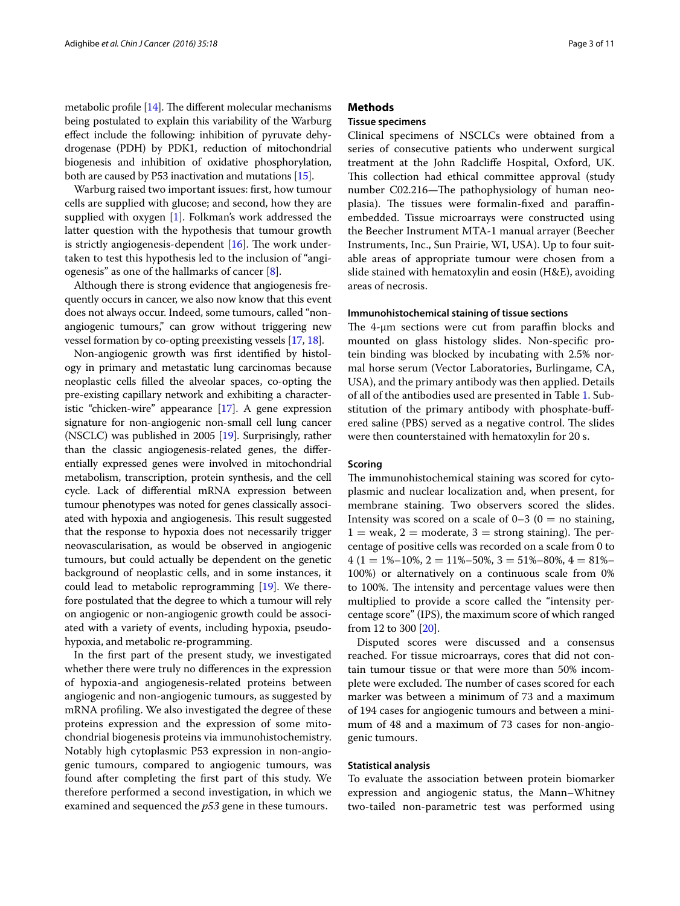metabolic profile [\[14](#page-10-13)]. The different molecular mechanisms being postulated to explain this variability of the Warburg effect include the following: inhibition of pyruvate dehydrogenase (PDH) by PDK1, reduction of mitochondrial biogenesis and inhibition of oxidative phosphorylation, both are caused by P53 inactivation and mutations [[15](#page-10-14)].

Warburg raised two important issues: first, how tumour cells are supplied with glucose; and second, how they are supplied with oxygen [[1\]](#page-10-0). Folkman's work addressed the latter question with the hypothesis that tumour growth is strictly angiogenesis-dependent  $[16]$  $[16]$ . The work undertaken to test this hypothesis led to the inclusion of "angiogenesis" as one of the hallmarks of cancer [\[8](#page-10-7)].

Although there is strong evidence that angiogenesis frequently occurs in cancer, we also now know that this event does not always occur. Indeed, some tumours, called "nonangiogenic tumours," can grow without triggering new vessel formation by co-opting preexisting vessels [\[17,](#page-10-16) [18\]](#page-10-17).

Non-angiogenic growth was first identified by histology in primary and metastatic lung carcinomas because neoplastic cells filled the alveolar spaces, co-opting the pre-existing capillary network and exhibiting a characteristic "chicken-wire" appearance [[17](#page-10-16)]. A gene expression signature for non-angiogenic non-small cell lung cancer (NSCLC) was published in 2005 [[19](#page-10-18)]. Surprisingly, rather than the classic angiogenesis-related genes, the differentially expressed genes were involved in mitochondrial metabolism, transcription, protein synthesis, and the cell cycle. Lack of differential mRNA expression between tumour phenotypes was noted for genes classically associated with hypoxia and angiogenesis. This result suggested that the response to hypoxia does not necessarily trigger neovascularisation, as would be observed in angiogenic tumours, but could actually be dependent on the genetic background of neoplastic cells, and in some instances, it could lead to metabolic reprogramming [[19](#page-10-18)]. We therefore postulated that the degree to which a tumour will rely on angiogenic or non-angiogenic growth could be associated with a variety of events, including hypoxia, pseudohypoxia, and metabolic re-programming.

In the first part of the present study, we investigated whether there were truly no differences in the expression of hypoxia-and angiogenesis-related proteins between angiogenic and non-angiogenic tumours, as suggested by mRNA profiling. We also investigated the degree of these proteins expression and the expression of some mitochondrial biogenesis proteins via immunohistochemistry. Notably high cytoplasmic P53 expression in non-angiogenic tumours, compared to angiogenic tumours, was found after completing the first part of this study. We therefore performed a second investigation, in which we examined and sequenced the *p53* gene in these tumours.

# **Methods**

# **Tissue specimens**

Clinical specimens of NSCLCs were obtained from a series of consecutive patients who underwent surgical treatment at the John Radcliffe Hospital, Oxford, UK. This collection had ethical committee approval (study number C02.216—The pathophysiology of human neoplasia). The tissues were formalin-fixed and paraffinembedded. Tissue microarrays were constructed using the Beecher Instrument MTA-1 manual arrayer (Beecher Instruments, Inc., Sun Prairie, WI, USA). Up to four suitable areas of appropriate tumour were chosen from a slide stained with hematoxylin and eosin (H&E), avoiding areas of necrosis.

# **Immunohistochemical staining of tissue sections**

The 4-μm sections were cut from paraffin blocks and mounted on glass histology slides. Non-specific protein binding was blocked by incubating with 2.5% normal horse serum (Vector Laboratories, Burlingame, CA, USA), and the primary antibody was then applied. Details of all of the antibodies used are presented in Table [1](#page-3-0). Substitution of the primary antibody with phosphate-buffered saline (PBS) served as a negative control. The slides were then counterstained with hematoxylin for 20 s.

#### **Scoring**

The immunohistochemical staining was scored for cytoplasmic and nuclear localization and, when present, for membrane staining. Two observers scored the slides. Intensity was scored on a scale of  $0-3$   $(0 =$  no staining,  $1 =$  weak,  $2 =$  moderate,  $3 =$  strong staining). The percentage of positive cells was recorded on a scale from 0 to  $4(1 = 1\% - 10\%, 2 = 11\% - 50\%, 3 = 51\% - 80\%, 4 = 81\% -$ 100%) or alternatively on a continuous scale from 0% to 100%. The intensity and percentage values were then multiplied to provide a score called the "intensity percentage score" (IPS), the maximum score of which ranged from 12 to 300 [\[20](#page-10-19)].

Disputed scores were discussed and a consensus reached. For tissue microarrays, cores that did not contain tumour tissue or that were more than 50% incomplete were excluded. The number of cases scored for each marker was between a minimum of 73 and a maximum of 194 cases for angiogenic tumours and between a minimum of 48 and a maximum of 73 cases for non-angiogenic tumours.

#### **Statistical analysis**

To evaluate the association between protein biomarker expression and angiogenic status, the Mann–Whitney two-tailed non-parametric test was performed using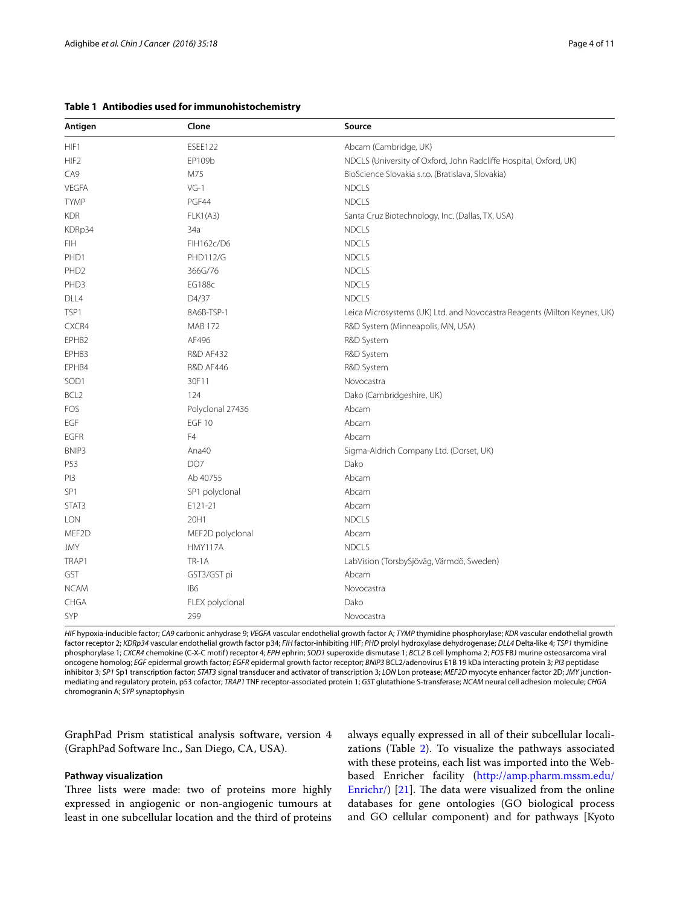#### <span id="page-3-0"></span>**Table 1 Antibodies used for immunohistochemistry**

| Antigen          | Clone                | Source                                                                   |
|------------------|----------------------|--------------------------------------------------------------------------|
| HIF1             | <b>ESEE122</b>       | Abcam (Cambridge, UK)                                                    |
| HIF <sub>2</sub> | EP109b               | NDCLS (University of Oxford, John Radcliffe Hospital, Oxford, UK)        |
| CA9              | M75                  | BioScience Slovakia s.r.o. (Bratislava, Slovakia)                        |
| VEGFA            | $VG-1$               | <b>NDCLS</b>                                                             |
| <b>TYMP</b>      | PGF44                | <b>NDCLS</b>                                                             |
| <b>KDR</b>       | <b>FLK1(A3)</b>      | Santa Cruz Biotechnology, Inc. (Dallas, TX, USA)                         |
| KDRp34           | 34a                  | <b>NDCLS</b>                                                             |
| <b>FIH</b>       | FIH162c/D6           | <b>NDCLS</b>                                                             |
| PHD1             | <b>PHD112/G</b>      | <b>NDCLS</b>                                                             |
| PHD <sub>2</sub> | 366G/76              | <b>NDCLS</b>                                                             |
| PHD3             | <b>EG188c</b>        | <b>NDCLS</b>                                                             |
| DLL4             | D4/37                | <b>NDCLS</b>                                                             |
| TSP1             | 8A6B-TSP-1           | Leica Microsystems (UK) Ltd. and Novocastra Reagents (Milton Keynes, UK) |
| CXCR4            | <b>MAB 172</b>       | R&D System (Minneapolis, MN, USA)                                        |
| EPHB2            | AF496                | R&D System                                                               |
| EPHB3            | <b>R&amp;D AF432</b> | R&D System                                                               |
| EPHB4            | <b>R&amp;D AF446</b> | R&D System                                                               |
| SOD1             | 30F11                | Novocastra                                                               |
| BCL <sub>2</sub> | 124                  | Dako (Cambridgeshire, UK)                                                |
| FOS              | Polyclonal 27436     | Abcam                                                                    |
| EGF              | <b>EGF 10</b>        | Abcam                                                                    |
| <b>EGFR</b>      | F <sub>4</sub>       | Abcam                                                                    |
| BNIP3            | Ana40                | Sigma-Aldrich Company Ltd. (Dorset, UK)                                  |
| P53              | DO <sub>7</sub>      | Dako                                                                     |
| PI3              | Ab 40755             | Abcam                                                                    |
| SP <sub>1</sub>  | SP1 polyclonal       | Abcam                                                                    |
| STAT3            | E121-21              | Abcam                                                                    |
| <b>LON</b>       | 20H1                 | <b>NDCLS</b>                                                             |
| MEF2D            | MEF2D polyclonal     | Abcam                                                                    |
| <b>JMY</b>       | HMY117A              | <b>NDCLS</b>                                                             |
| TRAP1            | TR-1A                | LabVision (TorsbySjöväg, Värmdö, Sweden)                                 |
| GST              | GST3/GST pi          | Abcam                                                                    |
| <b>NCAM</b>      | IB <sub>6</sub>      | Novocastra                                                               |
| CHGA             | FLEX polyclonal      | Dako                                                                     |
| SYP              | 299                  | Novocastra                                                               |

*HIF* hypoxia-inducible factor; *CA9* carbonic anhydrase 9; *VEGFA* vascular endothelial growth factor A; *TYMP* thymidine phosphorylase; *KDR* vascular endothelial growth factor receptor 2; *KDRp34* vascular endothelial growth factor p34; *FIH* factor-inhibiting HIF; *PHD* prolyl hydroxylase dehydrogenase; *DLL4* Delta-like 4; *TSP1* thymidine phosphorylase 1; *CXCR4* chemokine (C-X-C motif) receptor 4; *EPH* ephrin; *SOD1* superoxide dismutase 1; *BCL2* B cell lymphoma 2; *FOS* FBJ murine osteosarcoma viral oncogene homolog; *EGF* epidermal growth factor; *EGFR* epidermal growth factor receptor; *BNIP3* BCL2/adenovirus E1B 19 kDa interacting protein 3; *PI3* peptidase inhibitor 3; *SP1* Sp1 transcription factor; *STAT3* signal transducer and activator of transcription 3; *LON* Lon protease; *MEF2D* myocyte enhancer factor 2D; *JMY* junctionmediating and regulatory protein, p53 cofactor; *TRAP1* TNF receptor-associated protein 1; *GST* glutathione S-transferase; *NCAM* neural cell adhesion molecule; *CHGA* chromogranin A; *SYP* synaptophysin

GraphPad Prism statistical analysis software, version 4 (GraphPad Software Inc., San Diego, CA, USA).

# **Pathway visualization**

Three lists were made: two of proteins more highly expressed in angiogenic or non-angiogenic tumours at least in one subcellular location and the third of proteins always equally expressed in all of their subcellular localizations (Table [2\)](#page-4-0). To visualize the pathways associated with these proteins, each list was imported into the Webbased Enricher facility ([http://amp.pharm.mssm.edu/](http://amp.pharm.mssm.edu/Enrichr/) [Enrichr/](http://amp.pharm.mssm.edu/Enrichr/)) [[21\]](#page-10-20). The data were visualized from the online databases for gene ontologies (GO biological process and GO cellular component) and for pathways [Kyoto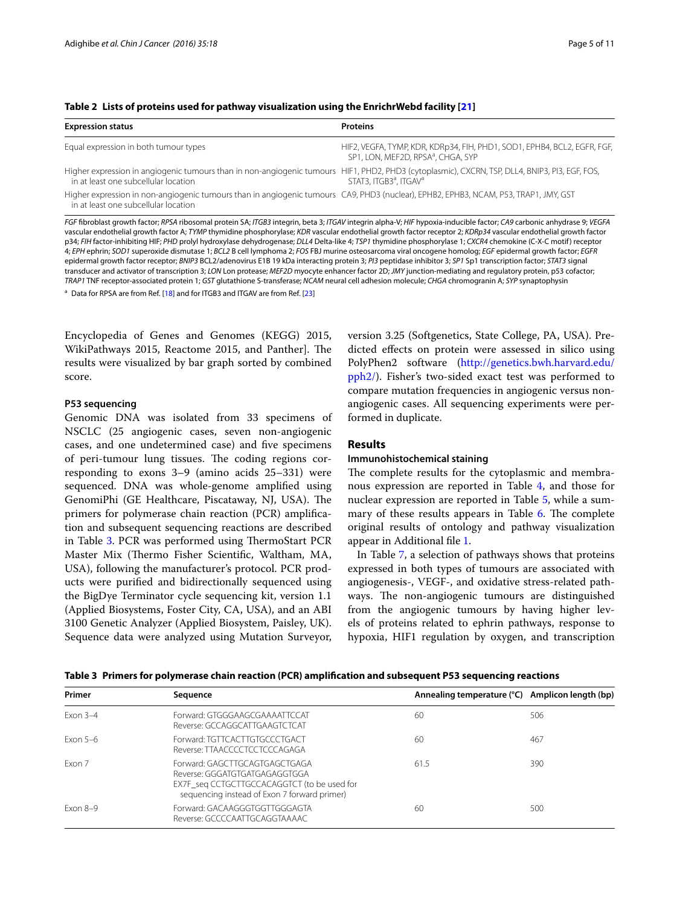<span id="page-4-0"></span>

|  |  |  |  | Table 2 Lists of proteins used for pathway visualization using the EnrichrWebd facility [21] |  |
|--|--|--|--|----------------------------------------------------------------------------------------------|--|
|--|--|--|--|----------------------------------------------------------------------------------------------|--|

| <b>Expression status</b>                                                                                                                                                               | <b>Proteins</b>                                                                                                            |
|----------------------------------------------------------------------------------------------------------------------------------------------------------------------------------------|----------------------------------------------------------------------------------------------------------------------------|
| Equal expression in both tumour types                                                                                                                                                  | HIF2, VEGFA, TYMP, KDR, KDRp34, FIH, PHD1, SOD1, EPHB4, BCL2, EGFR, FGF,<br>SP1, LON, MEF2D, RPSA <sup>a</sup> , CHGA, SYP |
| Higher expression in angiogenic tumours than in non-angiogenic tumours HIF1, PHD2, PHD3 (cytoplasmic), CXCRN, TSP, DLL4, BNIP3, PI3, EGF, FOS,<br>in at least one subcellular location | STAT3, ITGB3 <sup>a</sup> , ITGAV <sup>a</sup>                                                                             |
| Higher expression in non-angiogenic tumours than in angiogenic tumours CA9, PHD3 (nuclear), EPHB2, EPHB3, NCAM, P53, TRAP1, JMY, GST<br>in at least one subcellular location           |                                                                                                                            |
|                                                                                                                                                                                        |                                                                                                                            |

*FGF* fibroblast growth factor; *RPSA* ribosomal protein SA; *ITGB3* integrin, beta 3; *ITGAV* integrin alpha-V; *HIF* hypoxia-inducible factor; *CA9* carbonic anhydrase 9; *VEGFA* vascular endothelial growth factor A; *TYMP* thymidine phosphorylase; *KDR* vascular endothelial growth factor receptor 2; *KDRp34* vascular endothelial growth factor p34; *FIH* factor-inhibiting HIF; *PHD* prolyl hydroxylase dehydrogenase; *DLL4* Delta-like 4; *TSP1* thymidine phosphorylase 1; *CXCR4* chemokine (C-X-C motif) receptor 4; *EPH* ephrin; *SOD1* superoxide dismutase 1; *BCL2* B cell lymphoma 2; *FOS* FBJ murine osteosarcoma viral oncogene homolog; *EGF* epidermal growth factor; *EGFR* epidermal growth factor receptor; *BNIP3* BCL2/adenovirus E1B 19 kDa interacting protein 3; *PI3* peptidase inhibitor 3; *SP1* Sp1 transcription factor; *STAT3* signal transducer and activator of transcription 3; *LON* Lon protease; *MEF2D* myocyte enhancer factor 2D; *JMY* junction-mediating and regulatory protein, p53 cofactor; *TRAP1* TNF receptor-associated protein 1; *GST* glutathione S-transferase; *NCAM* neural cell adhesion molecule; *CHGA* chromogranin A; *SYP* synaptophysin

<sup>a</sup> Data for RPSA are from Ref. [\[18](#page-10-17)] and for ITGB3 and ITGAV are from Ref. [[23](#page-10-22)]

Encyclopedia of Genes and Genomes (KEGG) 2015, WikiPathways 2015, Reactome 2015, and Panther]. The results were visualized by bar graph sorted by combined score.

#### **P53 sequencing**

Genomic DNA was isolated from 33 specimens of NSCLC (25 angiogenic cases, seven non-angiogenic cases, and one undetermined case) and five specimens of peri-tumour lung tissues. The coding regions corresponding to exons 3–9 (amino acids 25–331) were sequenced. DNA was whole-genome amplified using GenomiPhi (GE Healthcare, Piscataway, NJ, USA). The primers for polymerase chain reaction (PCR) amplification and subsequent sequencing reactions are described in Table [3](#page-4-1). PCR was performed using ThermoStart PCR Master Mix (Thermo Fisher Scientific, Waltham, MA, USA), following the manufacturer's protocol. PCR products were purified and bidirectionally sequenced using the BigDye Terminator cycle sequencing kit, version 1.1 (Applied Biosystems, Foster City, CA, USA), and an ABI 3100 Genetic Analyzer (Applied Biosystem, Paisley, UK). Sequence data were analyzed using Mutation Surveyor, version 3.25 (Softgenetics, State College, PA, USA). Predicted effects on protein were assessed in silico using PolyPhen2 software ([http://genetics.bwh.harvard.edu/](http://genetics.bwh.harvard.edu/pph2/) [pph2/](http://genetics.bwh.harvard.edu/pph2/)). Fisher's two-sided exact test was performed to compare mutation frequencies in angiogenic versus nonangiogenic cases. All sequencing experiments were performed in duplicate.

# **Results**

#### **Immunohistochemical staining**

The complete results for the cytoplasmic and membranous expression are reported in Table [4](#page-5-0), and those for nuclear expression are reported in Table [5,](#page-6-0) while a sum-mary of these results appears in Table [6.](#page-7-0) The complete original results of ontology and pathway visualization appear in Additional file [1.](#page-10-21)

In Table [7](#page-7-1), a selection of pathways shows that proteins expressed in both types of tumours are associated with angiogenesis-, VEGF-, and oxidative stress-related pathways. The non-angiogenic tumours are distinguished from the angiogenic tumours by having higher levels of proteins related to ephrin pathways, response to hypoxia, HIF1 regulation by oxygen, and transcription

<span id="page-4-1"></span>

|  |  |  | Table 3 Primers for polymerase chain reaction (PCR) amplification and subsequent P53 sequencing reactions |  |  |  |
|--|--|--|-----------------------------------------------------------------------------------------------------------|--|--|--|
|--|--|--|-----------------------------------------------------------------------------------------------------------|--|--|--|

| Primer     | Sequence                                                                                                                                                      | Annealing temperature (°C) Amplicon length (bp) |     |
|------------|---------------------------------------------------------------------------------------------------------------------------------------------------------------|-------------------------------------------------|-----|
| Exon $3-4$ | Forward: GTGGGAAGCGAAAATTCCAT<br>Reverse: GCCAGGCATTGAAGTCTCAT                                                                                                | 60                                              | 506 |
| Exon $5-6$ | Forward: TGTTCACTTGTGCCCTGACT<br>Reverse: TTAACCCCTCCTCCCAGAGA                                                                                                | 60                                              | 467 |
| Fxon 7     | Forward: GAGCTTGCAGTGAGCTGAGA<br>Reverse: GGGATGTGATGAGAGGTGGA<br>EX7F seg CCTGCTTGCCACAGGTCT (to be used for<br>sequencing instead of Exon 7 forward primer) | 61.5                                            | 390 |
| $Fxon 8-9$ | Forward: GACAAGGGTGGTTGGGAGTA<br>Reverse: GCCCCAATTGCAGGTAAAAC                                                                                                | 60                                              | 500 |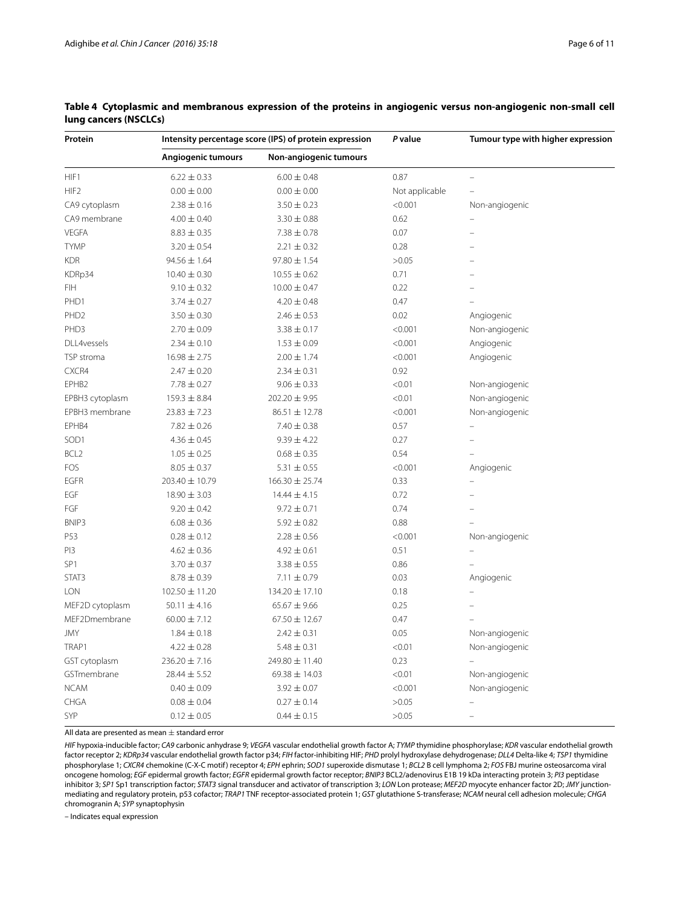| Protein          | Intensity percentage score (IPS) of protein expression |                    | P value        | Tumour type with higher expression |  |
|------------------|--------------------------------------------------------|--------------------|----------------|------------------------------------|--|
|                  | Angiogenic tumours<br>Non-angiogenic tumours           |                    |                |                                    |  |
| HIF1             | $6.22 \pm 0.33$                                        | $6.00 \pm 0.48$    | 0.87           | $\overline{a}$                     |  |
| HIF <sub>2</sub> | $0.00 \pm 0.00$                                        | $0.00 \pm 0.00$    | Not applicable |                                    |  |
| CA9 cytoplasm    | $2.38 \pm 0.16$                                        | $3.50 \pm 0.23$    | < 0.001        | Non-angiogenic                     |  |
| CA9 membrane     | $4.00 \pm 0.40$                                        | $3.30 \pm 0.88$    | 0.62           |                                    |  |
| <b>VEGFA</b>     | $8.83 \pm 0.35$                                        | $7.38 \pm 0.78$    | 0.07           | ÷                                  |  |
| <b>TYMP</b>      | $3.20 \pm 0.54$                                        | $2.21 \pm 0.32$    | 0.28           |                                    |  |
| <b>KDR</b>       | $94.56 \pm 1.64$                                       | $97.80 \pm 1.54$   | >0.05          |                                    |  |
| KDRp34           | $10.40 \pm 0.30$                                       | $10.55 \pm 0.62$   | 0.71           |                                    |  |
| <b>FIH</b>       | $9.10 \pm 0.32$                                        | $10.00 \pm 0.47$   | 0.22           |                                    |  |
| PHD1             | $3.74 \pm 0.27$                                        | $4.20 \pm 0.48$    | 0.47           |                                    |  |
| PHD <sub>2</sub> | $3.50 \pm 0.30$                                        | $2.46 \pm 0.53$    | 0.02           | Angiogenic                         |  |
| PHD3             | $2.70 \pm 0.09$                                        | $3.38 \pm 0.17$    | < 0.001        | Non-angiogenic                     |  |
| DLL4vessels      | $2.34 \pm 0.10$                                        | $1.53 \pm 0.09$    | < 0.001        | Angiogenic                         |  |
| TSP stroma       | $16.98 \pm 2.75$                                       | $2.00 \pm 1.74$    | < 0.001        | Angiogenic                         |  |
| CXCR4            | $2.47 \pm 0.20$                                        | $2.34 \pm 0.31$    | 0.92           |                                    |  |
| EPHB2            | $7.78 \pm 0.27$                                        | $9.06 \pm 0.33$    | < 0.01         | Non-angiogenic                     |  |
| EPBH3 cytoplasm  | $159.3 \pm 8.84$                                       | $202.20 \pm 9.95$  | < 0.01         | Non-angiogenic                     |  |
| EPBH3 membrane   | $23.83 \pm 7.23$                                       | $86.51 \pm 12.78$  | < 0.001        | Non-angiogenic                     |  |
| EPHB4            | $7.82 \pm 0.26$                                        | $7.40 \pm 0.38$    | 0.57           |                                    |  |
| SOD1             | $4.36 \pm 0.45$                                        | $9.39 \pm 4.22$    | 0.27           |                                    |  |
| BCL <sub>2</sub> | $1.05 \pm 0.25$                                        | $0.68 \pm 0.35$    | 0.54           |                                    |  |
| FOS              | $8.05 \pm 0.37$                                        | $5.31 \pm 0.55$    | < 0.001        | Angiogenic                         |  |
| <b>EGFR</b>      | 203.40 ± 10.79                                         | $166.30 \pm 25.74$ | 0.33           |                                    |  |
| EGF              | $18.90 \pm 3.03$                                       | $14.44 \pm 4.15$   | 0.72           |                                    |  |
| FGF              | $9.20 \pm 0.42$                                        | $9.72 \pm 0.71$    | 0.74           |                                    |  |
| BNIP3            | $6.08 \pm 0.36$                                        | $5.92 \pm 0.82$    | 0.88           |                                    |  |
| P53              | $0.28 \pm 0.12$                                        | $2.28 \pm 0.56$    | < 0.001        | Non-angiogenic                     |  |
| PI3              | $4.62 \pm 0.36$                                        | $4.92 \pm 0.61$    | 0.51           |                                    |  |
| SP <sub>1</sub>  | $3.70 \pm 0.37$                                        | $3.38 \pm 0.55$    | 0.86           | $\overline{a}$                     |  |
| STAT3            | $8.78 \pm 0.39$                                        | $7.11 \pm 0.79$    | 0.03           | Angiogenic                         |  |
| <b>LON</b>       | $102.50 \pm 11.20$                                     | $134.20 \pm 17.10$ | 0.18           |                                    |  |
| MEF2D cytoplasm  | $50.11 \pm 4.16$                                       | $65.67 \pm 9.66$   | 0.25           |                                    |  |
| MEF2Dmembrane    | $60.00 \pm 7.12$                                       | $67.50 \pm 12.67$  | 0.47           |                                    |  |
| <b>JMY</b>       | $1.84 \pm 0.18$                                        | $2.42 \pm 0.31$    | 0.05           | Non-angiogenic                     |  |
| TRAP1            | $4.22 \pm 0.28$                                        | $5.48 \pm 0.31$    | < 0.01         | Non-angiogenic                     |  |
| GST cytoplasm    | $236.20 \pm 7.16$                                      | 249.80 ± 11.40     | 0.23           |                                    |  |
| GSTmembrane      | $28.44 \pm 5.52$                                       | 69.38 ± 14.03      | < 0.01         | Non-angiogenic                     |  |
| <b>NCAM</b>      | $0.40 \pm 0.09$                                        | $3.92 \pm 0.07$    | < 0.001        | Non-angiogenic                     |  |
| CHGA             | $0.08 \pm 0.04$                                        | $0.27 \pm 0.14$    | >0.05          |                                    |  |
| SYP              | $0.12 \pm 0.05$                                        | $0.44 \pm 0.15$    | >0.05          | $\overline{\phantom{0}}$           |  |

# <span id="page-5-0"></span>**Table 4 Cytoplasmic and membranous expression of the proteins in angiogenic versus non-angiogenic non-small cell lung cancers (NSCLCs)**

All data are presented as mean  $\pm$  standard error

*HIF* hypoxia-inducible factor; *CA9* carbonic anhydrase 9; *VEGFA* vascular endothelial growth factor A; *TYMP* thymidine phosphorylase; *KDR* vascular endothelial growth factor receptor 2; *KDRp34* vascular endothelial growth factor p34; *FIH* factor-inhibiting HIF; *PHD* prolyl hydroxylase dehydrogenase; *DLL4* Delta-like 4; *TSP1* thymidine phosphorylase 1; *CXCR4* chemokine (C-X-C motif) receptor 4; *EPH* ephrin; *SOD1* superoxide dismutase 1; *BCL2* B cell lymphoma 2; *FOS* FBJ murine osteosarcoma viral oncogene homolog; *EGF* epidermal growth factor; *EGFR* epidermal growth factor receptor; *BNIP3* BCL2/adenovirus E1B 19 kDa interacting protein 3; *PI3* peptidase inhibitor 3; *SP1* Sp1 transcription factor; *STAT3* signal transducer and activator of transcription 3; *LON* Lon protease; *MEF2D* myocyte enhancer factor 2D; *JMY* junctionmediating and regulatory protein, p53 cofactor; *TRAP1* TNF receptor-associated protein 1; *GST* glutathione S-transferase; *NCAM* neural cell adhesion molecule; *CHGA* chromogranin A; *SYP* synaptophysin

*–* Indicates equal expression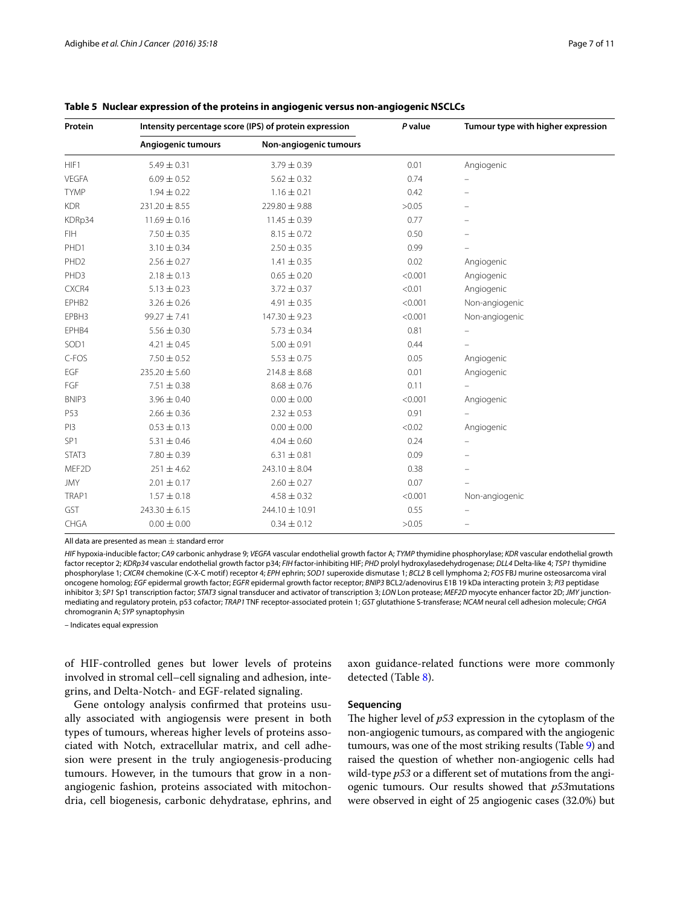| Protein          | Intensity percentage score (IPS) of protein expression |                        | P value | Tumour type with higher expression |  |
|------------------|--------------------------------------------------------|------------------------|---------|------------------------------------|--|
|                  | Angiogenic tumours                                     | Non-angiogenic tumours |         |                                    |  |
| HIF1             | $5.49 \pm 0.31$                                        | $3.79 \pm 0.39$        | 0.01    | Angiogenic                         |  |
| <b>VEGFA</b>     | $6.09 \pm 0.52$                                        | $5.62 \pm 0.32$        | 0.74    |                                    |  |
| <b>TYMP</b>      | $1.94 \pm 0.22$                                        | $1.16 \pm 0.21$        | 0.42    |                                    |  |
| <b>KDR</b>       | $231.20 \pm 8.55$                                      | 229.80 ± 9.88          | >0.05   |                                    |  |
| KDRp34           | $11.69 \pm 0.16$                                       | $11.45 \pm 0.39$       | 0.77    |                                    |  |
| <b>FIH</b>       | $7.50 \pm 0.35$                                        | $8.15 \pm 0.72$        | 0.50    |                                    |  |
| PHD1             | $3.10 \pm 0.34$                                        | $2.50 \pm 0.35$        | 0.99    |                                    |  |
| PHD <sub>2</sub> | $2.56 \pm 0.27$                                        | $1.41 \pm 0.35$        | 0.02    | Angiogenic                         |  |
| PHD3             | $2.18 \pm 0.13$                                        | $0.65 \pm 0.20$        | < 0.001 | Angiogenic                         |  |
| CXCR4            | $5.13 \pm 0.23$                                        | $3.72 \pm 0.37$        | < 0.01  | Angiogenic                         |  |
| EPHB2            | $3.26 \pm 0.26$                                        | $4.91 \pm 0.35$        | < 0.001 | Non-angiogenic                     |  |
| EPBH3            | $99.27 \pm 7.41$                                       | 147.30 ± 9.23          | < 0.001 | Non-angiogenic                     |  |
| EPHB4            | $5.56 \pm 0.30$                                        | $5.73 \pm 0.34$        | 0.81    |                                    |  |
| SOD1             | $4.21 \pm 0.45$                                        | $5.00 \pm 0.91$        | 0.44    |                                    |  |
| C-FOS            | $7.50 \pm 0.52$                                        | $5.53 \pm 0.75$        | 0.05    | Angiogenic                         |  |
| EGF              | $235.20 \pm 5.60$                                      | $214.8 \pm 8.68$       | 0.01    | Angiogenic                         |  |
| FGF              | $7.51 \pm 0.38$                                        | $8.68 \pm 0.76$        | 0.11    |                                    |  |
| BNIP3            | $3.96 \pm 0.40$                                        | $0.00 \pm 0.00$        | < 0.001 | Angiogenic                         |  |
| P53              | $2.66 \pm 0.36$                                        | $2.32 \pm 0.53$        | 0.91    |                                    |  |
| PI3              | $0.53 \pm 0.13$                                        | $0.00 \pm 0.00$        | < 0.02  | Angiogenic                         |  |
| SP <sub>1</sub>  | $5.31 \pm 0.46$                                        | $4.04 \pm 0.60$        | 0.24    |                                    |  |
| STAT3            | $7.80 \pm 0.39$                                        | $6.31 \pm 0.81$        | 0.09    |                                    |  |
| MEF2D            | $251 \pm 4.62$                                         | $243.10 \pm 8.04$      | 0.38    |                                    |  |
| <b>JMY</b>       | $2.01 \pm 0.17$                                        | $2.60 \pm 0.27$        | 0.07    |                                    |  |
| TRAP1            | $1.57 \pm 0.18$                                        | $4.58 \pm 0.32$        | < 0.001 | Non-angiogenic                     |  |
| GST              | $243.30 \pm 6.15$                                      | 244.10 ± 10.91         | 0.55    | $\overline{a}$                     |  |
| CHGA             | $0.00 \pm 0.00$                                        | $0.34 \pm 0.12$        | >0.05   | $\equiv$                           |  |

#### <span id="page-6-0"></span>**Table 5 Nuclear expression of the proteins in angiogenic versus non-angiogenic NSCLCs**

All data are presented as mean  $\pm$  standard error

*HIF* hypoxia-inducible factor; *CA9* carbonic anhydrase 9; *VEGFA* vascular endothelial growth factor A; *TYMP* thymidine phosphorylase; *KDR* vascular endothelial growth factor receptor 2; *KDRp34* vascular endothelial growth factor p34; *FIH* factor-inhibiting HIF; *PHD* prolyl hydroxylasedehydrogenase; *DLL4* Delta-like 4; *TSP1* thymidine phosphorylase 1; *CXCR4* chemokine (C-X-C motif) receptor 4; *EPH* ephrin; *SOD1* superoxide dismutase 1; *BCL2* B cell lymphoma 2; *FOS* FBJ murine osteosarcoma viral oncogene homolog; *EGF* epidermal growth factor; *EGFR* epidermal growth factor receptor; *BNIP3* BCL2/adenovirus E1B 19 kDa interacting protein 3; *PI3* peptidase inhibitor 3; *SP1* Sp1 transcription factor; *STAT3* signal transducer and activator of transcription 3; *LON* Lon protease; *MEF2D* myocyte enhancer factor 2D; *JMY* junctionmediating and regulatory protein, p53 cofactor; *TRAP1* TNF receptor-associated protein 1; *GST* glutathione S-transferase; *NCAM* neural cell adhesion molecule; *CHGA* chromogranin A; *SYP* synaptophysin

*–* Indicates equal expression

of HIF-controlled genes but lower levels of proteins involved in stromal cell–cell signaling and adhesion, integrins, and Delta-Notch- and EGF-related signaling.

Gene ontology analysis confirmed that proteins usually associated with angiogensis were present in both types of tumours, whereas higher levels of proteins associated with Notch, extracellular matrix, and cell adhesion were present in the truly angiogenesis-producing tumours. However, in the tumours that grow in a nonangiogenic fashion, proteins associated with mitochondria, cell biogenesis, carbonic dehydratase, ephrins, and

axon guidance-related functions were more commonly detected (Table [8\)](#page-8-0).

# **Sequencing**

The higher level of *p53* expression in the cytoplasm of the non-angiogenic tumours, as compared with the angiogenic tumours, was one of the most striking results (Table [9](#page-9-0)) and raised the question of whether non-angiogenic cells had wild-type *p53* or a different set of mutations from the angiogenic tumours. Our results showed that *p53*mutations were observed in eight of 25 angiogenic cases (32.0%) but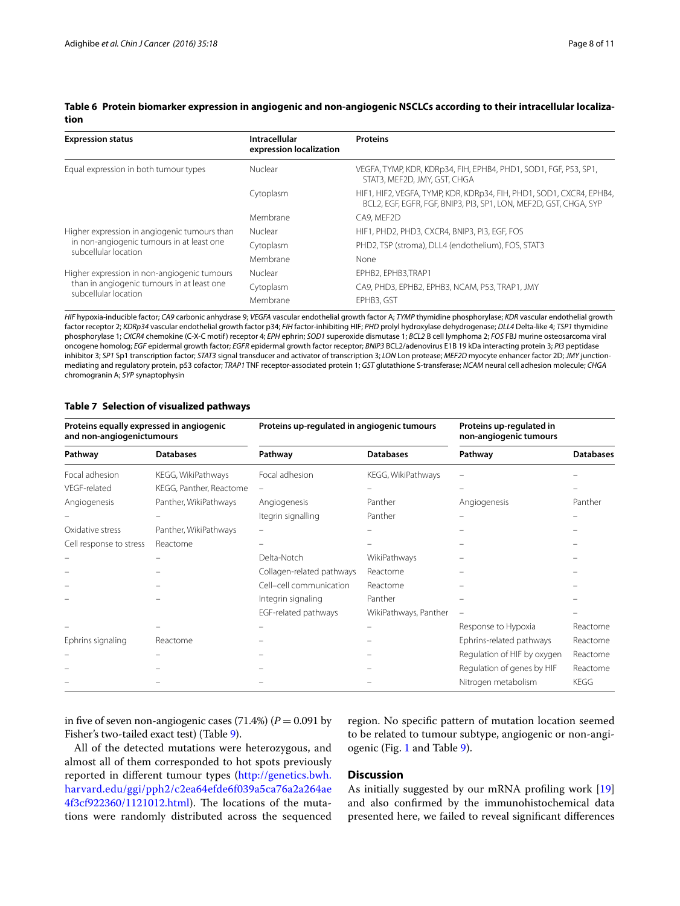<span id="page-7-0"></span>

|      | Table 6 Protein biomarker expression in angiogenic and non-angiogenic NSCLCs according to their intracellular localiza- |
|------|-------------------------------------------------------------------------------------------------------------------------|
| tion |                                                                                                                         |

| <b>Expression status</b>                     | Intracellular<br>expression localization | <b>Proteins</b>                                                                                                                           |
|----------------------------------------------|------------------------------------------|-------------------------------------------------------------------------------------------------------------------------------------------|
| Equal expression in both tumour types        | Nuclear                                  | VEGFA, TYMP, KDR, KDRp34, FIH, EPHB4, PHD1, SOD1, FGF, P53, SP1,<br>STAT3, MEF2D, JMY, GST, CHGA                                          |
|                                              | Cytoplasm                                | HIF1, HIF2, VEGFA, TYMP, KDR, KDRp34, FIH, PHD1, SOD1, CXCR4, EPHB4,<br>BCL2, EGF, EGFR, FGF, BNIP3, PI3, SP1, LON, MEF2D, GST, CHGA, SYP |
|                                              | Membrane                                 | CA9, MEF2D                                                                                                                                |
| Higher expression in angiogenic tumours than | Nuclear                                  | HIF1, PHD2, PHD3, CXCR4, BNIP3, PI3, EGF, FOS                                                                                             |
| in non-angiogenic tumours in at least one    | Cytoplasm                                | PHD2, TSP (stroma), DLL4 (endothelium), FOS, STAT3                                                                                        |
| subcellular location                         | Membrane                                 | None                                                                                                                                      |
| Higher expression in non-angiogenic tumours  | Nuclear                                  | EPHB2, EPHB3, TRAP1                                                                                                                       |
| than in angiogenic tumours in at least one   | Cytoplasm                                | CA9, PHD3, EPHB2, EPHB3, NCAM, P53, TRAP1, JMY                                                                                            |
| subcellular location                         | Membrane                                 | EPHB3, GST                                                                                                                                |

*HIF* hypoxia-inducible factor; *CA9* carbonic anhydrase 9; *VEGFA* vascular endothelial growth factor A; *TYMP* thymidine phosphorylase; *KDR* vascular endothelial growth factor receptor 2; *KDRp34* vascular endothelial growth factor p34; *FIH* factor-inhibiting HIF; *PHD* prolyl hydroxylase dehydrogenase; *DLL4* Delta-like 4; *TSP1* thymidine phosphorylase 1; *CXCR4* chemokine (C-X-C motif) receptor 4; *EPH* ephrin; *SOD1* superoxide dismutase 1; *BCL2* B cell lymphoma 2; *FOS* FBJ murine osteosarcoma viral oncogene homolog; *EGF* epidermal growth factor; *EGFR* epidermal growth factor receptor; *BNIP3* BCL2/adenovirus E1B 19 kDa interacting protein 3; *PI3* peptidase inhibitor 3; *SP1* Sp1 transcription factor; *STAT3* signal transducer and activator of transcription 3; *LON* Lon protease; *MEF2D* myocyte enhancer factor 2D; *JMY* junctionmediating and regulatory protein, p53 cofactor; *TRAP1* TNF receptor-associated protein 1; *GST* glutathione S-transferase; *NCAM* neural cell adhesion molecule; *CHGA* chromogranin A; *SYP* synaptophysin

#### <span id="page-7-1"></span>**Table 7 Selection of visualized pathways**

| Proteins equally expressed in angiogenic<br>and non-angiogenictumours |                         | Proteins up-regulated in angiogenic tumours |                       | Proteins up-regulated in<br>non-angiogenic tumours |                  |
|-----------------------------------------------------------------------|-------------------------|---------------------------------------------|-----------------------|----------------------------------------------------|------------------|
| Pathway                                                               | <b>Databases</b>        | Pathway                                     | <b>Databases</b>      | Pathway                                            | <b>Databases</b> |
| Focal adhesion                                                        | KEGG, WikiPathways      | Focal adhesion                              | KEGG, WikiPathways    |                                                    |                  |
| VEGF-related                                                          | KEGG, Panther, Reactome |                                             |                       |                                                    |                  |
| Angiogenesis                                                          | Panther, WikiPathways   | Angiogenesis                                | Panther               | Angiogenesis                                       | Panther          |
|                                                                       |                         | Itegrin signalling                          | Panther               |                                                    |                  |
| Oxidative stress                                                      | Panther, WikiPathways   |                                             |                       |                                                    |                  |
| Cell response to stress                                               | Reactome                |                                             |                       |                                                    |                  |
|                                                                       |                         | Delta-Notch                                 | WikiPathways          |                                                    |                  |
|                                                                       |                         | Collagen-related pathways                   | Reactome              |                                                    |                  |
|                                                                       |                         | Cell-cell communication                     | Reactome              |                                                    |                  |
|                                                                       |                         | Integrin signaling                          | Panther               |                                                    |                  |
|                                                                       |                         | EGF-related pathways                        | WikiPathways, Panther |                                                    |                  |
|                                                                       |                         |                                             |                       | Response to Hypoxia                                | Reactome         |
| Ephrins signaling                                                     | Reactome                |                                             |                       | Ephrins-related pathways                           | Reactome         |
|                                                                       |                         |                                             |                       | Regulation of HIF by oxygen                        | Reactome         |
|                                                                       |                         |                                             |                       | Regulation of genes by HIF                         | Reactome         |
|                                                                       |                         |                                             |                       | Nitrogen metabolism                                | KEGG             |

in five of seven non-angiogenic cases  $(71.4%) (P = 0.091$  by Fisher's two-tailed exact test) (Table [9](#page-9-0)).

All of the detected mutations were heterozygous, and almost all of them corresponded to hot spots previously reported in different tumour types ([http://genetics.bwh.](http://genetics.bwh.harvard.edu/ggi/pph2/c2ea64efde6f039a5ca76a2a264ae4f3cf922360/1121012.html) [harvard.edu/ggi/pph2/c2ea64efde6f039a5ca76a2a264ae](http://genetics.bwh.harvard.edu/ggi/pph2/c2ea64efde6f039a5ca76a2a264ae4f3cf922360/1121012.html) [4f3cf922360/1121012.html](http://genetics.bwh.harvard.edu/ggi/pph2/c2ea64efde6f039a5ca76a2a264ae4f3cf922360/1121012.html)). The locations of the mutations were randomly distributed across the sequenced region. No specific pattern of mutation location seemed to be related to tumour subtype, angiogenic or non-angiogenic (Fig. [1](#page-9-1) and Table [9](#page-9-0)).

# **Discussion**

As initially suggested by our mRNA profiling work [[19](#page-10-18)] and also confirmed by the immunohistochemical data presented here, we failed to reveal significant differences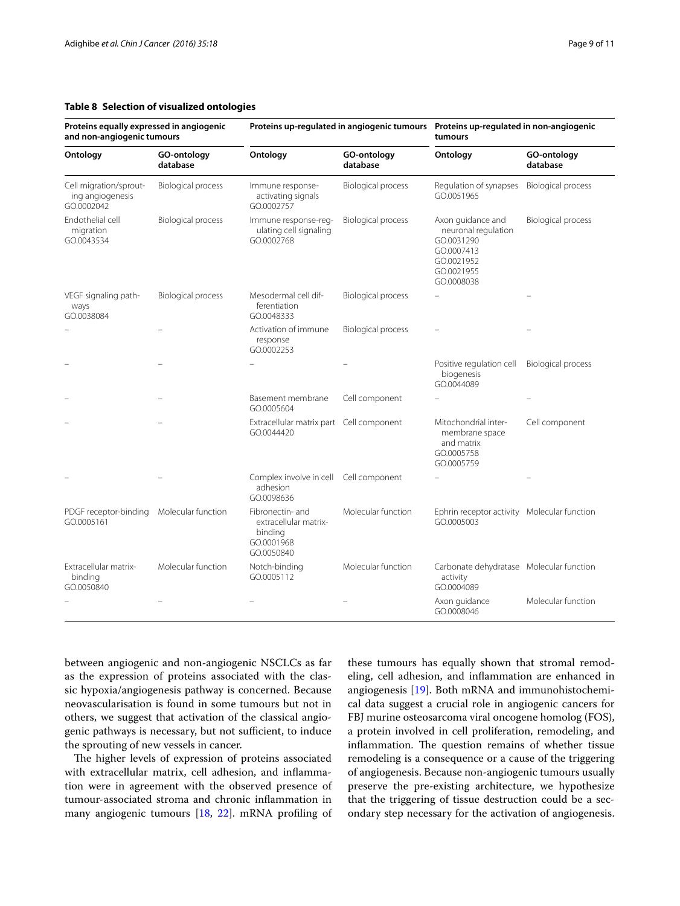#### <span id="page-8-0"></span>**Table 8 Selection of visualized ontologies**

| Proteins equally expressed in angiogenic<br>and non-angiogenic tumours |                           | Proteins up-regulated in angiogenic tumours  Proteins up-regulated in non-angiogenic |                           | tumours                                                                                                        |                           |
|------------------------------------------------------------------------|---------------------------|--------------------------------------------------------------------------------------|---------------------------|----------------------------------------------------------------------------------------------------------------|---------------------------|
| Ontology                                                               | GO-ontology<br>database   | Ontology                                                                             | GO-ontology<br>database   | Ontology                                                                                                       | GO-ontology<br>database   |
| Cell migration/sprout-<br>ing angiogenesis<br>GO.0002042               | <b>Biological process</b> | Immune response-<br>activating signals<br>GO.0002757                                 | <b>Biological process</b> | Regulation of synapses<br>GO.0051965                                                                           | <b>Biological process</b> |
| Endothelial cell<br>migration<br>GO.0043534                            | <b>Biological process</b> | Immune response-reg-<br>ulating cell signaling<br>GO.0002768                         | <b>Biological process</b> | Axon guidance and<br>neuronal regulation<br>GO.0031290<br>GO.0007413<br>GO.0021952<br>GO.0021955<br>GO.0008038 | <b>Biological process</b> |
| VEGF signaling path-<br>ways<br>GO.0038084                             | <b>Biological process</b> | Mesodermal cell dif-<br>ferentiation<br>GO.0048333                                   | <b>Biological process</b> |                                                                                                                |                           |
|                                                                        |                           | Activation of immune<br>response<br>GO.0002253                                       | <b>Biological process</b> |                                                                                                                |                           |
|                                                                        |                           |                                                                                      |                           | Positive regulation cell<br>biogenesis<br>GO.0044089                                                           | <b>Biological process</b> |
|                                                                        |                           | Basement membrane<br>GO.0005604                                                      | Cell component            |                                                                                                                |                           |
|                                                                        |                           | Extracellular matrix part Cell component<br>GO.0044420                               |                           | Mitochondrial inter-<br>membrane space<br>and matrix<br>GO.0005758<br>GO.0005759                               | Cell component            |
|                                                                        |                           | Complex involve in cell Cell component<br>adhesion<br>GO.0098636                     |                           |                                                                                                                |                           |
| PDGF receptor-binding<br>GO.0005161                                    | Molecular function        | Fibronectin- and<br>extracellular matrix-<br>binding<br>GO.0001968<br>GO.0050840     | Molecular function        | Ephrin receptor activity Molecular function<br>GO.0005003                                                      |                           |
| Extracellular matrix-<br>binding<br>GO.0050840                         | Molecular function        | Notch-binding<br>GO.0005112                                                          | Molecular function        | Carbonate dehydratase Molecular function<br>activity<br>GO.0004089                                             |                           |
|                                                                        |                           |                                                                                      |                           | Axon quidance<br>GO.0008046                                                                                    | Molecular function        |

between angiogenic and non-angiogenic NSCLCs as far as the expression of proteins associated with the classic hypoxia/angiogenesis pathway is concerned. Because neovascularisation is found in some tumours but not in others, we suggest that activation of the classical angiogenic pathways is necessary, but not sufficient, to induce the sprouting of new vessels in cancer.

The higher levels of expression of proteins associated with extracellular matrix, cell adhesion, and inflammation were in agreement with the observed presence of tumour-associated stroma and chronic inflammation in many angiogenic tumours [\[18](#page-10-17), [22](#page-10-23)]. mRNA profiling of these tumours has equally shown that stromal remodeling, cell adhesion, and inflammation are enhanced in angiogenesis [[19\]](#page-10-18). Both mRNA and immunohistochemical data suggest a crucial role in angiogenic cancers for FBJ murine osteosarcoma viral oncogene homolog (FOS), a protein involved in cell proliferation, remodeling, and inflammation. The question remains of whether tissue remodeling is a consequence or a cause of the triggering of angiogenesis. Because non-angiogenic tumours usually preserve the pre-existing architecture, we hypothesize that the triggering of tissue destruction could be a secondary step necessary for the activation of angiogenesis.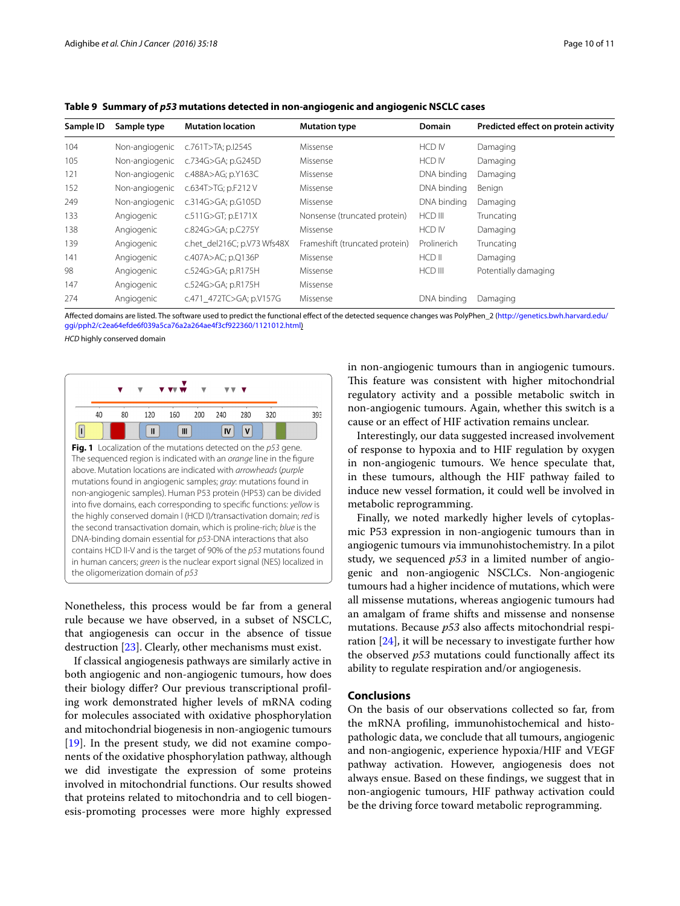| Sample ID | Sample type    | <b>Mutation location</b>    | <b>Mutation type</b>           | <b>Domain</b> | Predicted effect on protein activity |
|-----------|----------------|-----------------------------|--------------------------------|---------------|--------------------------------------|
| 104       | Non-angiogenic | c.761T>TA; p.I254S          | Missense                       | <b>HCD IV</b> | Damaging                             |
| 105       | Non-angiogenic | c.734G>GA; p.G245D          | Missense                       | HCD IV        | Damaging                             |
| 121       | Non-angiogenic | c.488A>AG; p.Y163C          | Missense                       | DNA binding   | Damaging                             |
| 152       | Non-angiogenic | c.634T>TG; p.F212V          | Missense                       | DNA binding   | Benign                               |
| 249       | Non-angiogenic | c.314G>GA; p.G105D          | Missense                       | DNA bindina   | Damaging                             |
| 133       | Angiogenic     | c.511G>GT; p.E171X          | Nonsense (truncated protein)   | HCD III       | Truncating                           |
| 138       | Angiogenic     | c.824G>GA; p.C275Y          | Missense                       | <b>HCD IV</b> | Damaging                             |
| 139       | Angiogenic     | c.het del216C; p.V73 Wfs48X | Frameshift (truncated protein) | Prolinerich   | Truncating                           |
| 141       | Angiogenic     | c.407A>AC; p.Q136P          | Missense                       | HCD II        | Damaging                             |
| 98        | Angiogenic     | c.524G>GA; p.R175H          | Missense                       | HCD III       | Potentially damaging                 |
| 147       | Angiogenic     | c.524G>GA; p.R175H          | Missense                       |               |                                      |
| 274       | Angiogenic     | c.471 472TC>GA; p.V157G     | Missense                       | DNA binding   | Damaging                             |

<span id="page-9-0"></span>**Table 9 Summary of** *p53* **mutations detected in non-angiogenic and angiogenic NSCLC cases**

Affected domains are listed. The software used to predict the functional effect of the detected sequence changes was PolyPhen\_2 [\(http://genetics.bwh.harvard.edu/](http://genetics.bwh.harvard.edu/ggi/pph2/c2ea64efde6f039a5ca76a2a264ae4f3cf922360/1121012.html) [ggi/pph2/c2ea64efde6f039a5ca76a2a264ae4f3cf922360/1121012.html\)](http://genetics.bwh.harvard.edu/ggi/pph2/c2ea64efde6f039a5ca76a2a264ae4f3cf922360/1121012.html)

*HCD* highly conserved domain

<span id="page-9-1"></span>

Nonetheless, this process would be far from a general rule because we have observed, in a subset of NSCLC, that angiogenesis can occur in the absence of tissue destruction [\[23](#page-10-22)]. Clearly, other mechanisms must exist.

If classical angiogenesis pathways are similarly active in both angiogenic and non-angiogenic tumours, how does their biology differ? Our previous transcriptional profiling work demonstrated higher levels of mRNA coding for molecules associated with oxidative phosphorylation and mitochondrial biogenesis in non-angiogenic tumours [[19\]](#page-10-18). In the present study, we did not examine components of the oxidative phosphorylation pathway, although we did investigate the expression of some proteins involved in mitochondrial functions. Our results showed that proteins related to mitochondria and to cell biogenesis-promoting processes were more highly expressed in non-angiogenic tumours than in angiogenic tumours. This feature was consistent with higher mitochondrial regulatory activity and a possible metabolic switch in non-angiogenic tumours. Again, whether this switch is a cause or an effect of HIF activation remains unclear.

Interestingly, our data suggested increased involvement of response to hypoxia and to HIF regulation by oxygen in non-angiogenic tumours. We hence speculate that, in these tumours, although the HIF pathway failed to induce new vessel formation, it could well be involved in metabolic reprogramming.

Finally, we noted markedly higher levels of cytoplasmic P53 expression in non-angiogenic tumours than in angiogenic tumours via immunohistochemistry. In a pilot study, we sequenced *p53* in a limited number of angiogenic and non-angiogenic NSCLCs. Non-angiogenic tumours had a higher incidence of mutations, which were all missense mutations, whereas angiogenic tumours had an amalgam of frame shifts and missense and nonsense mutations. Because *p53* also affects mitochondrial respiration [\[24\]](#page-10-24), it will be necessary to investigate further how the observed *p53* mutations could functionally affect its ability to regulate respiration and/or angiogenesis.

# **Conclusions**

On the basis of our observations collected so far, from the mRNA profiling, immunohistochemical and histopathologic data, we conclude that all tumours, angiogenic and non-angiogenic, experience hypoxia/HIF and VEGF pathway activation. However, angiogenesis does not always ensue. Based on these findings, we suggest that in non-angiogenic tumours, HIF pathway activation could be the driving force toward metabolic reprogramming.